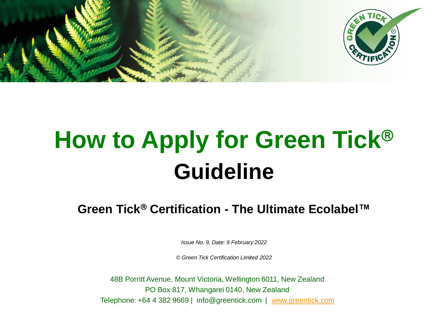

# **How to Apply for Green Tick Guideline**

**Green Tick<sup>®</sup> Certification - The Ultimate Ecolabel™** 

*Issue No. 9, Date: 9 February 2022*

*© Green Tick Certification Limited 2022*

48B Porritt Avenue, Mount Victoria, Wellington 6011, New Zealand PO Box 817, Whangarei 0140, New Zealand Telephone: +64 4 382 9669 | info@greentick.com | [www.greentick.com](http://www.greentick.com/)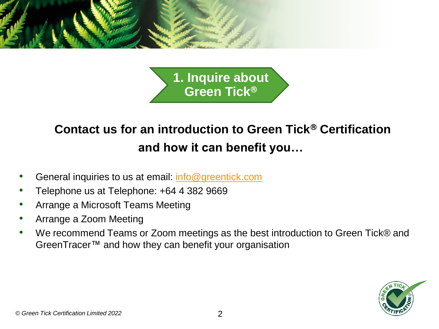

**1. Inquire about Green Tick**

# **Contact us for an introduction to Green Tick<sup>®</sup> Certification and how it can benefit you…**

- General inquiries to us at email: [info@greentick.com](mailto:info@greentick.com)
- Telephone us at Telephone: +64 4 382 9669
- Arrange a Microsoft Teams Meeting
- Arrange a Zoom Meeting
- We recommend Teams or Zoom meetings as the best introduction to Green Tick® and GreenTracer™ and how they can benefit your organisation

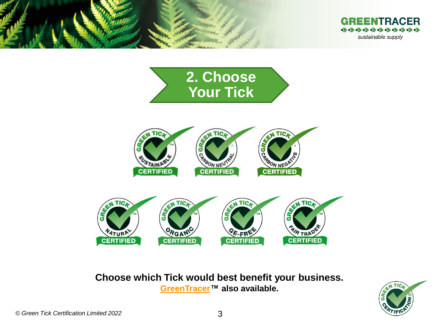









**Choose which Tick would best benefit your business. [GreenTracer™](https://www.greentick.com/green-tracer) also available.**

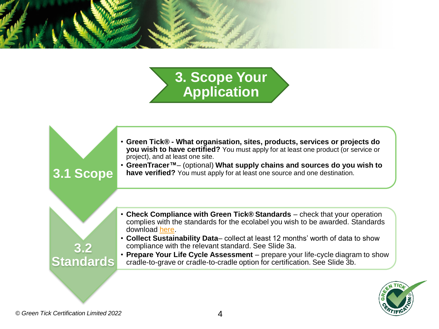

# **3. Scope Your Application**



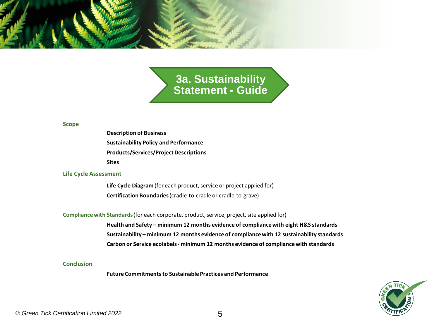

**3a. Sustainability Statement - Guide**

### **Scope**

**Description of Business Sustainability Policy and Performance Products/Services/Project Descriptions Sites**

### **Life Cycle Assessment**

**Life Cycle Diagram** (for each product, service or project applied for) **Certification Boundaries** (cradle-to-cradle or cradle-to-grave)

### **Compliance with Standards**(for each corporate, product, service, project, site applied for)

**Health and Safety – minimum 12 months evidence of compliance with eight H&S standards Sustainability – minimum 12 months evidence of compliance with 12 sustainability standards Carbon or Service ecolabels - minimum 12 months evidence of compliance with standards**

### **Conclusion**

**Future Commitments to Sustainable Practices and Performance**

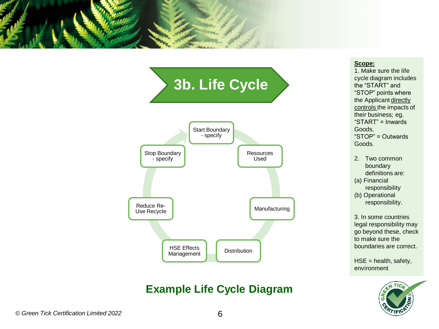



### **Example Life Cycle Diagram**

### **Scope:**

1. Make sure the life cycle diagram includes the "START" and "STOP" points where the Applicant directly controls the impacts of their business; eg. "START" = Inwards Goods, "STOP" = Outwards Goods.

- 2. Two common boundary definitions are:
- (a) Financial responsibility
- (b) Operational responsibility.

3. In some countries legal responsibility may go beyond these, check to make sure the boundaries are correct.

 $HSE =$  health, safety, environment

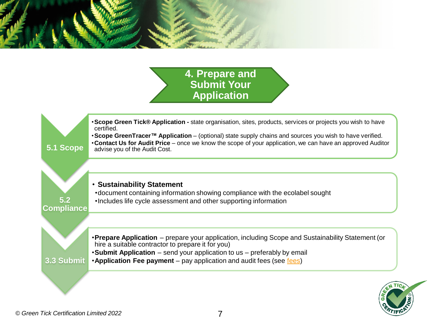

**4. Prepare and Submit Your Application**

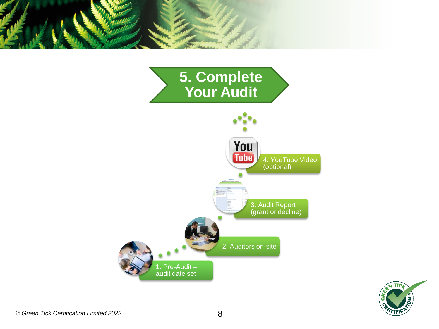



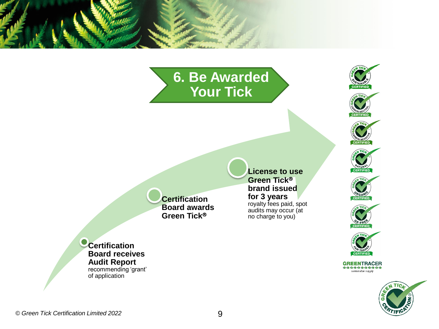# **6. Be Awarded Your Tick**

**License to use Green Tick brand issued for 3 years**  royalty fees paid, spot audits may occur (at no charge to you)





GREENTRACER<br>\*\*\*\*\*\*\*\*\*\*\* sustainable supply



**Certification Board awards Green Tick**

**Certification Board receives Audit Report**  recommending 'grant' of application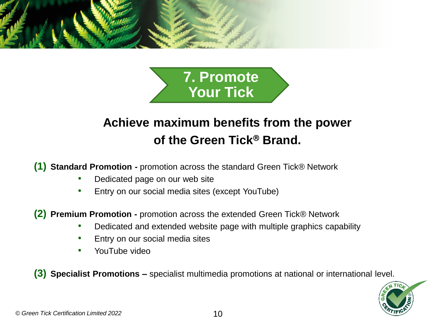



## **Achieve maximum benefits from the power of the Green Tick<sup>®</sup> Brand.**

**(1) Standard Promotion -** promotion across the standard Green Tick® Network

- Dedicated page on our web site
- Entry on our social media sites (except YouTube)

**(2) Premium Promotion -** promotion across the extended Green Tick® Network

- Dedicated and extended website page with multiple graphics capability
- Entry on our social media sites
- YouTube video

**(3) Specialist Promotions –** specialist multimedia promotions at national or international level.

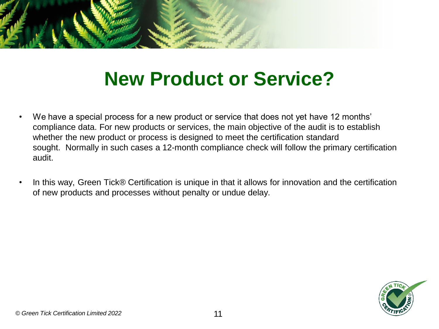

# **New Product or Service?**

- We have a special process for a new product or service that does not yet have 12 months' compliance data. For new products or services, the main objective of the audit is to establish whether the new product or process is designed to meet the certification standard sought. Normally in such cases a 12-month compliance check will follow the primary certification audit.
- In this way, Green Tick® Certification is unique in that it allows for innovation and the certification of new products and processes without penalty or undue delay.